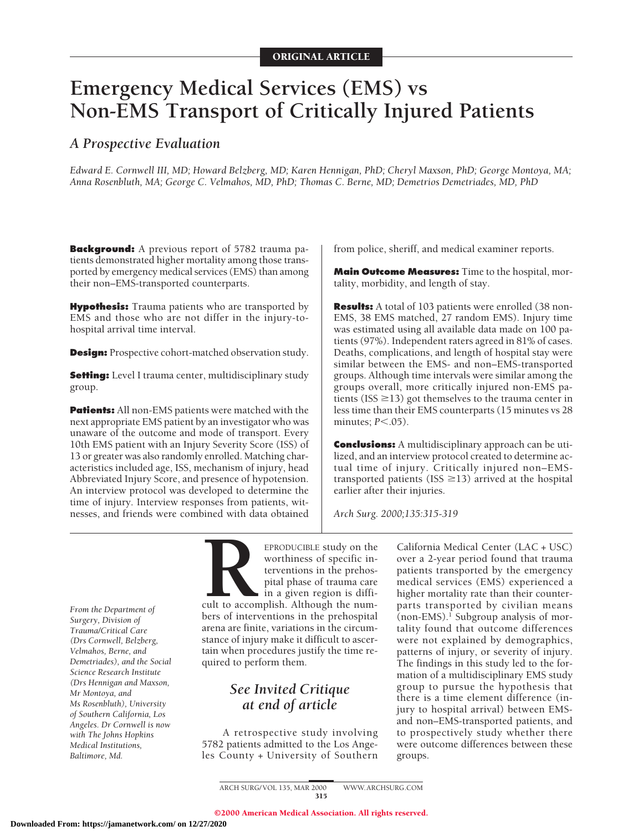# **Emergency Medical Services (EMS) vs Non-EMS Transport of Critically Injured Patients**

# *A Prospective Evaluation*

*Edward E. Cornwell III, MD; Howard Belzberg, MD; Karen Hennigan, PhD; Cheryl Maxson, PhD; George Montoya, MA; Anna Rosenbluth, MA; George C. Velmahos, MD, PhD; Thomas C. Berne, MD; Demetrios Demetriades, MD, PhD*

**Background:** A previous report of 5782 trauma patients demonstrated higher mortality among those transported by emergency medical services (EMS) than among their non–EMS-transported counterparts.

**Hypothesis:** Trauma patients who are transported by EMS and those who are not differ in the injury-tohospital arrival time interval.

**Design:** Prospective cohort-matched observation study.

**Setting:** Level I trauma center, multidisciplinary study group.

**Patients:** All non-EMS patients were matched with the next appropriate EMS patient by an investigator who was unaware of the outcome and mode of transport. Every 10th EMS patient with an Injury Severity Score (ISS) of 13 or greater was also randomly enrolled. Matching characteristics included age, ISS, mechanism of injury, head Abbreviated Injury Score, and presence of hypotension. An interview protocol was developed to determine the time of injury. Interview responses from patients, witnesses, and friends were combined with data obtained

from police, sheriff, and medical examiner reports.

**Main Outcome Measures:** Time to the hospital, mortality, morbidity, and length of stay.

**Results:** A total of 103 patients were enrolled (38 non-EMS, 38 EMS matched, 27 random EMS). Injury time was estimated using all available data made on 100 patients (97%). Independent raters agreed in 81% of cases. Deaths, complications, and length of hospital stay were similar between the EMS- and non–EMS-transported groups. Although time intervals were similar among the groups overall, more critically injured non-EMS patients (ISS  $\geq$ 13) got themselves to the trauma center in less time than their EMS counterparts (15 minutes vs 28 minutes;  $P$ <.05).

**Conclusions:** A multidisciplinary approach can be utilized, and an interview protocol created to determine actual time of injury. Critically injured non–EMStransported patients (ISS  $\geq$ 13) arrived at the hospital earlier after their injuries.

*Arch Surg. 2000;135:315-319*

*From the Department of Surgery, Division of Trauma/Critical Care (Drs Cornwell, Belzberg, Velmahos, Berne, and Demetriades), and the Social Science Research Institute (Drs Hennigan and Maxson, Mr Montoya, and Ms Rosenbluth), University of Southern California, Los Angeles. Dr Cornwell is now with The Johns Hopkins Medical Institutions, Baltimore, Md.*

**EPRODUCIBLE study on the worthiness of specific interventions in the prehospital phase of trauma care in a given region is difficult to accomplish. Although the numbers of interventions in the prehospital** worthiness of specific interventions in the prehospital phase of trauma care in a given region is difficult to accomplish. Although the numbers of interventions in the prehospital arena are finite, variations in the circumstance of injury make it difficult to ascertain when procedures justify the time required to perform them.

# *See Invited Critique at end of article*

A retrospective study involving 5782 patients admitted to the Los Angeles County + University of Southern

California Medical Center (LAC + USC) over a 2-year period found that trauma patients transported by the emergency medical services (EMS) experienced a higher mortality rate than their counterparts transported by civilian means  $(non-EMS).$ <sup>1</sup> Subgroup analysis of mortality found that outcome differences were not explained by demographics, patterns of injury, or severity of injury. The findings in this study led to the formation of a multidisciplinary EMS study group to pursue the hypothesis that there is a time element difference (injury to hospital arrival) between EMSand non–EMS-transported patients, and to prospectively study whether there were outcome differences between these groups.

ARCH SURG/ VOL 135, MAR 2000 WWW.ARCHSURG.COM 315

©2000 American Medical Association. All rights reserved.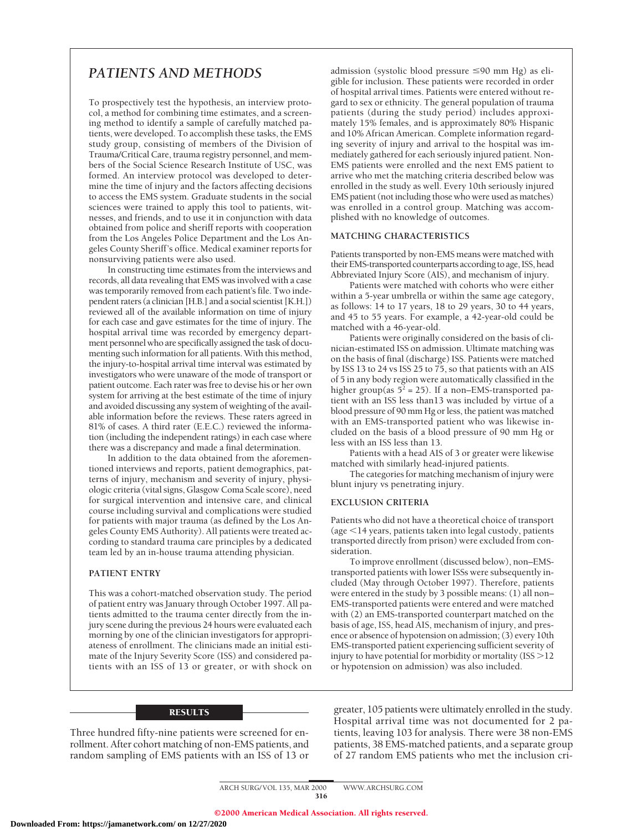# *PATIENTS AND METHODS*

To prospectively test the hypothesis, an interview protocol, a method for combining time estimates, and a screening method to identify a sample of carefully matched patients, were developed. To accomplish these tasks, the EMS study group, consisting of members of the Division of Trauma/Critical Care, trauma registry personnel, and members of the Social Science Research Institute of USC, was formed. An interview protocol was developed to determine the time of injury and the factors affecting decisions to access the EMS system. Graduate students in the social sciences were trained to apply this tool to patients, witnesses, and friends, and to use it in conjunction with data obtained from police and sheriff reports with cooperation from the Los Angeles Police Department and the Los Angeles County Sheriff's office. Medical examiner reports for nonsurviving patients were also used.

In constructing time estimates from the interviews and records, all data revealing that EMS was involved with a case was temporarily removed from each patient's file. Two independent raters (a clinician [H.B.] and a social scientist [K.H.]) reviewed all of the available information on time of injury for each case and gave estimates for the time of injury. The hospital arrival time was recorded by emergency department personnel who are specifically assigned the task of documenting such information for all patients. With this method, the injury-to-hospital arrival time interval was estimated by investigators who were unaware of the mode of transport or patient outcome. Each rater was free to devise his or her own system for arriving at the best estimate of the time of injury and avoided discussing any system of weighting of the available information before the reviews. These raters agreed in 81% of cases. A third rater (E.E.C.) reviewed the information (including the independent ratings) in each case where there was a discrepancy and made a final determination.

In addition to the data obtained from the aforementioned interviews and reports, patient demographics, patterns of injury, mechanism and severity of injury, physiologic criteria (vital signs, Glasgow Coma Scale score), need for surgical intervention and intensive care, and clinical course including survival and complications were studied for patients with major trauma (as defined by the Los Angeles County EMS Authority). All patients were treated according to standard trauma care principles by a dedicated team led by an in-house trauma attending physician.

### **PATIENT ENTRY**

This was a cohort-matched observation study. The period of patient entry was January through October 1997. All patients admitted to the trauma center directly from the injury scene during the previous 24 hours were evaluated each morning by one of the clinician investigators for appropriateness of enrollment. The clinicians made an initial estimate of the Injury Severity Score (ISS) and considered patients with an ISS of 13 or greater, or with shock on

admission (systolic blood pressure  $\leq 90$  mm Hg) as eligible for inclusion. These patients were recorded in order of hospital arrival times. Patients were entered without regard to sex or ethnicity. The general population of trauma patients (during the study period) includes approximately 15% females, and is approximately 80% Hispanic and 10% African American. Complete information regarding severity of injury and arrival to the hospital was immediately gathered for each seriously injured patient. Non-EMS patients were enrolled and the next EMS patient to arrive who met the matching criteria described below was enrolled in the study as well. Every 10th seriously injured EMS patient (not including those who were used as matches) was enrolled in a control group. Matching was accomplished with no knowledge of outcomes.

# **MATCHING CHARACTERISTICS**

Patients transported by non-EMS means were matched with their EMS-transported counterparts according to age, ISS, head Abbreviated Injury Score (AIS), and mechanism of injury.

Patients were matched with cohorts who were either within a 5-year umbrella or within the same age category, as follows: 14 to 17 years, 18 to 29 years, 30 to 44 years, and 45 to 55 years. For example, a 42-year-old could be matched with a 46-year-old.

Patients were originally considered on the basis of clinician-estimated ISS on admission. Ultimate matching was on the basis of final (discharge) ISS. Patients were matched by ISS 13 to 24 vs ISS 25 to 75, so that patients with an AIS of 5 in any body region were automatically classified in the higher group(as  $5^2 = 25$ ). If a non–EMS-transported patient with an ISS less than13 was included by virtue of a blood pressure of 90 mm Hg or less, the patient was matched with an EMS-transported patient who was likewise included on the basis of a blood pressure of 90 mm Hg or less with an ISS less than 13.

Patients with a head AIS of 3 or greater were likewise matched with similarly head-injured patients.

The categories for matching mechanism of injury were blunt injury vs penetrating injury.

# **EXCLUSION CRITERIA**

Patients who did not have a theoretical choice of transport  $(age < 14 years, patients taken into legal custody, patients)$ transported directly from prison) were excluded from consideration.

To improve enrollment (discussed below), non–EMStransported patients with lower ISSs were subsequently included (May through October 1997). Therefore, patients were entered in the study by 3 possible means: (1) all non– EMS-transported patients were entered and were matched with (2) an EMS-transported counterpart matched on the basis of age, ISS, head AIS, mechanism of injury, and presence or absence of hypotension on admission; (3) every 10th EMS-transported patient experiencing sufficient severity of injury to have potential for morbidity or mortality (ISS  $>$  12 or hypotension on admission) was also included.

## **RESULTS**

Three hundred fifty-nine patients were screened for enrollment. After cohort matching of non-EMS patients, and random sampling of EMS patients with an ISS of 13 or

greater, 105 patients were ultimately enrolled in the study. Hospital arrival time was not documented for 2 patients, leaving 103 for analysis. There were 38 non-EMS patients, 38 EMS-matched patients, and a separate group of 27 random EMS patients who met the inclusion cri-

ARCH SURG/ VOL 135, MAR 2000 WWW.ARCHSURG.COM 316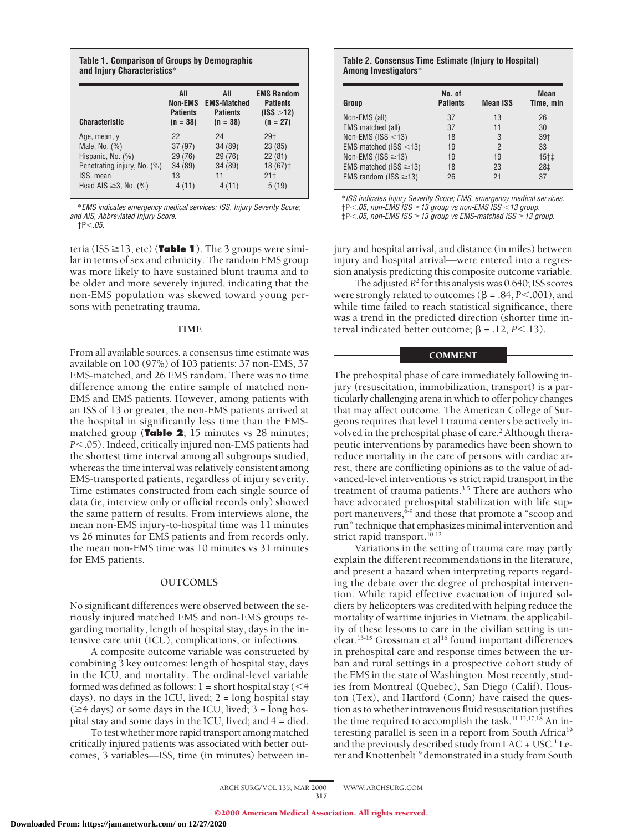| Table 1. Comparison of Groups by Demographic<br>and Injury Characteristics* |                                                            |                                                                  |  |  |
|-----------------------------------------------------------------------------|------------------------------------------------------------|------------------------------------------------------------------|--|--|
| All<br>Non-EMS<br><b>Patients</b><br>$(n = 38)$                             | All<br><b>EMS-Matched</b><br><b>Patients</b><br>$(n = 38)$ | <b>EMS Random</b><br><b>Patients</b><br>(ISS > 12)<br>$(n = 27)$ |  |  |
| 22                                                                          | 24                                                         | $29+$                                                            |  |  |
| 37 (97)                                                                     | 34 (89)                                                    | 23(85)                                                           |  |  |
| 29 (76)                                                                     | 29 (76)                                                    | 22(81)                                                           |  |  |
| 34 (89)                                                                     | 34 (89)                                                    | $18(67)$ <sup>+</sup>                                            |  |  |
| 13                                                                          | 11                                                         | 21 <sup>†</sup>                                                  |  |  |
| 4 (11)                                                                      | 4 (11)                                                     | 5(19)                                                            |  |  |
|                                                                             |                                                            |                                                                  |  |  |

\*EMS indicates emergency medical services; ISS, Injury Severity Score; and AIS, Abbreviated Injury Score.

 $+P<.05$ .

teria (ISS  $\geq$ 13, etc) (**Table 1**). The 3 groups were similar in terms of sex and ethnicity. The random EMS group was more likely to have sustained blunt trauma and to be older and more severely injured, indicating that the non-EMS population was skewed toward young persons with penetrating trauma.

### **TIME**

From all available sources, a consensus time estimate was available on 100 (97%) of 103 patients: 37 non-EMS, 37 EMS-matched, and 26 EMS random. There was no time difference among the entire sample of matched non-EMS and EMS patients. However, among patients with an ISS of 13 or greater, the non-EMS patients arrived at the hospital in significantly less time than the EMSmatched group (Table 2; 15 minutes vs 28 minutes; *P*<.05). Indeed, critically injured non-EMS patients had the shortest time interval among all subgroups studied, whereas the time interval was relatively consistent among EMS-transported patients, regardless of injury severity. Time estimates constructed from each single source of data (ie, interview only or official records only) showed the same pattern of results. From interviews alone, the mean non-EMS injury-to-hospital time was 11 minutes vs 26 minutes for EMS patients and from records only, the mean non-EMS time was 10 minutes vs 31 minutes for EMS patients.

#### **OUTCOMES**

No significant differences were observed between the seriously injured matched EMS and non-EMS groups regarding mortality, length of hospital stay, days in the intensive care unit (ICU), complications, or infections.

A composite outcome variable was constructed by combining 3 key outcomes: length of hospital stay, days in the ICU, and mortality. The ordinal-level variable formed was defined as follows:  $1 =$  short hospital stay (<4 days), no days in the ICU, lived; 2 = long hospital stay  $(\geq 4$  days) or some days in the ICU, lived;  $3 = \log \text{hos}$ pital stay and some days in the ICU, lived; and 4 = died.

To test whether more rapid transport among matched critically injured patients was associated with better outcomes, 3 variables—ISS, time (in minutes) between in-

## **Table 2. Consensus Time Estimate (Injury to Hospital) Among Investigators**\*

| Group                       | No. of<br><b>Patients</b> | <b>Mean ISS</b> | Mean<br>Time, min |
|-----------------------------|---------------------------|-----------------|-------------------|
| Non-EMS (all)               | 37                        | 13              | 26                |
| EMS matched (all)           | 37                        | 11              | 30                |
| Non-EMS ( $ISS < 13$ )      | 18                        | 3               | 39†               |
| EMS matched ( $ SS $ <13)   | 19                        | $\mathcal{P}$   | 33                |
| Non-EMS (ISS $\geq$ 13)     | 19                        | 19              | $15 + 1$          |
| EMS matched (ISS $\geq$ 13) | 18                        | 23              | 28 <sub>‡</sub>   |
| EMS random (ISS $\geq$ 13)  | 26                        | 21              | 37                |

\*ISS indicates Injury Severity Score; EMS, emergency medical services.  $\dagger$ P $<$ .05, non-EMS ISS  $\geq$  13 group vs non-EMS ISS  $<$  13 group.

 $\frac{1}{2}P<.05$ , non-EMS ISS  $\geq$  13 group vs EMS-matched ISS  $\geq$  13 group.

jury and hospital arrival, and distance (in miles) between injury and hospital arrival—were entered into a regression analysis predicting this composite outcome variable.

The adjusted  $R^2$  for this analysis was 0.640; ISS scores were strongly related to outcomes ( $\beta$  = .84, *P*<.001), and while time failed to reach statistical significance, there was a trend in the predicted direction (shorter time interval indicated better outcome;  $\beta = .12, P < .13$ ).

### **COMMENT**

The prehospital phase of care immediately following injury (resuscitation, immobilization, transport) is a particularly challenging arena in which to offer policy changes that may affect outcome. The American College of Surgeons requires that level I trauma centers be actively involved in the prehospital phase of care.<sup>2</sup> Although therapeutic interventions by paramedics have been shown to reduce mortality in the care of persons with cardiac arrest, there are conflicting opinions as to the value of advanced-level interventions vs strict rapid transport in the treatment of trauma patients.<sup>3-5</sup> There are authors who have advocated prehospital stabilization with life support maneuvers, $6-9$  and those that promote a "scoop and run" technique that emphasizes minimal intervention and strict rapid transport.<sup>10-12</sup>

Variations in the setting of trauma care may partly explain the different recommendations in the literature, and present a hazard when interpreting reports regarding the debate over the degree of prehospital intervention. While rapid effective evacuation of injured soldiers by helicopters was credited with helping reduce the mortality of wartime injuries in Vietnam, the applicability of these lessons to care in the civilian setting is unclear.<sup>13-15</sup> Grossman et al<sup>16</sup> found important differences in prehospital care and response times between the urban and rural settings in a prospective cohort study of the EMS in the state of Washington. Most recently, studies from Montreal (Quebec), San Diego (Calif), Houston (Tex), and Hartford (Conn) have raised the question as to whether intravenous fluid resuscitation justifies the time required to accomplish the task.<sup>11,12,17,18</sup> An interesting parallel is seen in a report from South Africa<sup>19</sup> and the previously described study from  $LAC + USC$ .<sup>1</sup> Lerer and Knottenbelt<sup>19</sup> demonstrated in a study from South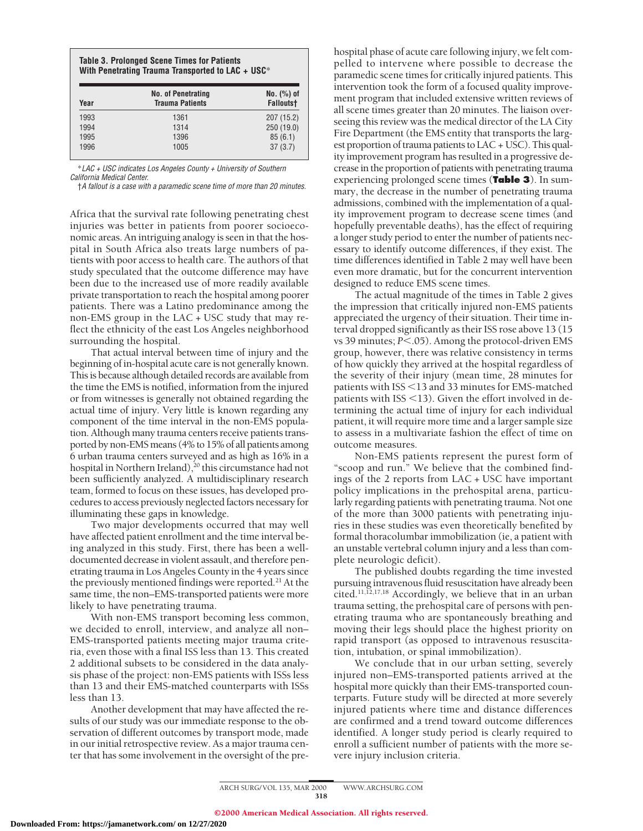| <b>Table 3. Prolonged Scene Times for Patients</b><br>With Penetrating Trauma Transported to LAC $+$ USC <sup>*</sup> |                                                     |                                          |  |
|-----------------------------------------------------------------------------------------------------------------------|-----------------------------------------------------|------------------------------------------|--|
| Year                                                                                                                  | <b>No. of Penetrating</b><br><b>Trauma Patients</b> | $No.$ $(\%)$ of<br>Fallouts <sup>+</sup> |  |
| 1993                                                                                                                  | 1361                                                | 207 (15.2)                               |  |
| 1994                                                                                                                  | 1314                                                | 250(19.0)                                |  |
| 1995                                                                                                                  | 1396                                                | 85(6.1)                                  |  |
| 1996                                                                                                                  | 1005                                                | 37(3.7)                                  |  |

\*LAC <sup>+</sup> USC indicates Los Angeles County <sup>+</sup> University of Southern California Medical Center.

†A fallout is <sup>a</sup> case with <sup>a</sup> paramedic scene time of more than 20 minutes.

Africa that the survival rate following penetrating chest injuries was better in patients from poorer socioeconomic areas. An intriguing analogy is seen in that the hospital in South Africa also treats large numbers of patients with poor access to health care. The authors of that study speculated that the outcome difference may have been due to the increased use of more readily available private transportation to reach the hospital among poorer patients. There was a Latino predominance among the non-EMS group in the LAC + USC study that may reflect the ethnicity of the east Los Angeles neighborhood surrounding the hospital.

That actual interval between time of injury and the beginning of in-hospital acute care is not generally known. This is because although detailed records are available from the time the EMS is notified, information from the injured or from witnesses is generally not obtained regarding the actual time of injury. Very little is known regarding any component of the time interval in the non-EMS population. Although many trauma centers receive patients transported by non-EMS means (4% to 15% of all patients among 6 urban trauma centers surveyed and as high as 16% in a hospital in Northern Ireland), $^{20}$  this circumstance had not been sufficiently analyzed. A multidisciplinary research team, formed to focus on these issues, has developed procedures to access previously neglected factors necessary for illuminating these gaps in knowledge.

Two major developments occurred that may well have affected patient enrollment and the time interval being analyzed in this study. First, there has been a welldocumented decrease in violent assault, and therefore penetrating trauma in Los Angeles County in the 4 years since the previously mentioned findings were reported.<sup>21</sup> At the same time, the non–EMS-transported patients were more likely to have penetrating trauma.

With non-EMS transport becoming less common, we decided to enroll, interview, and analyze all non– EMS-transported patients meeting major trauma criteria, even those with a final ISS less than 13. This created 2 additional subsets to be considered in the data analysis phase of the project: non-EMS patients with ISSs less than 13 and their EMS-matched counterparts with ISSs less than 13.

Another development that may have affected the results of our study was our immediate response to the observation of different outcomes by transport mode, made in our initial retrospective review. As a major trauma center that has some involvement in the oversight of the pre-

hospital phase of acute care following injury, we felt compelled to intervene where possible to decrease the paramedic scene times for critically injured patients. This intervention took the form of a focused quality improvement program that included extensive written reviews of all scene times greater than 20 minutes. The liaison overseeing this review was the medical director of the LA City Fire Department (the EMS entity that transports the largest proportion of trauma patients to LAC + USC). This quality improvement program has resulted in a progressive decrease in the proportion of patients with penetrating trauma experiencing prolonged scene times (**Table 3**). In summary, the decrease in the number of penetrating trauma admissions, combined with the implementation of a quality improvement program to decrease scene times (and hopefully preventable deaths), has the effect of requiring a longer study period to enter the number of patients necessary to identify outcome differences, if they exist. The time differences identified in Table 2 may well have been even more dramatic, but for the concurrent intervention designed to reduce EMS scene times.

The actual magnitude of the times in Table 2 gives the impression that critically injured non-EMS patients appreciated the urgency of their situation. Their time interval dropped significantly as their ISS rose above 13 (15 vs 39 minutes;  $P$ <.05). Among the protocol-driven EMS group, however, there was relative consistency in terms of how quickly they arrived at the hospital regardless of the severity of their injury (mean time, 28 minutes for patients with  $ISS < 13$  and 33 minutes for EMS-matched patients with ISS  $<$ 13). Given the effort involved in determining the actual time of injury for each individual patient, it will require more time and a larger sample size to assess in a multivariate fashion the effect of time on outcome measures.

Non-EMS patients represent the purest form of "scoop and run." We believe that the combined findings of the 2 reports from LAC + USC have important policy implications in the prehospital arena, particularly regarding patients with penetrating trauma. Not one of the more than 3000 patients with penetrating injuries in these studies was even theoretically benefited by formal thoracolumbar immobilization (ie, a patient with an unstable vertebral column injury and a less than complete neurologic deficit).

The published doubts regarding the time invested pursuing intravenous fluid resuscitation have already been cited.11,12,17,18 Accordingly, we believe that in an urban trauma setting, the prehospital care of persons with penetrating trauma who are spontaneously breathing and moving their legs should place the highest priority on rapid transport (as opposed to intravenous resuscitation, intubation, or spinal immobilization).

We conclude that in our urban setting, severely injured non–EMS-transported patients arrived at the hospital more quickly than their EMS-transported counterparts. Future study will be directed at more severely injured patients where time and distance differences are confirmed and a trend toward outcome differences identified. A longer study period is clearly required to enroll a sufficient number of patients with the more severe injury inclusion criteria.

ARCH SURG/ VOL 135, MAR 2000 WWW.ARCHSURG.COM 318